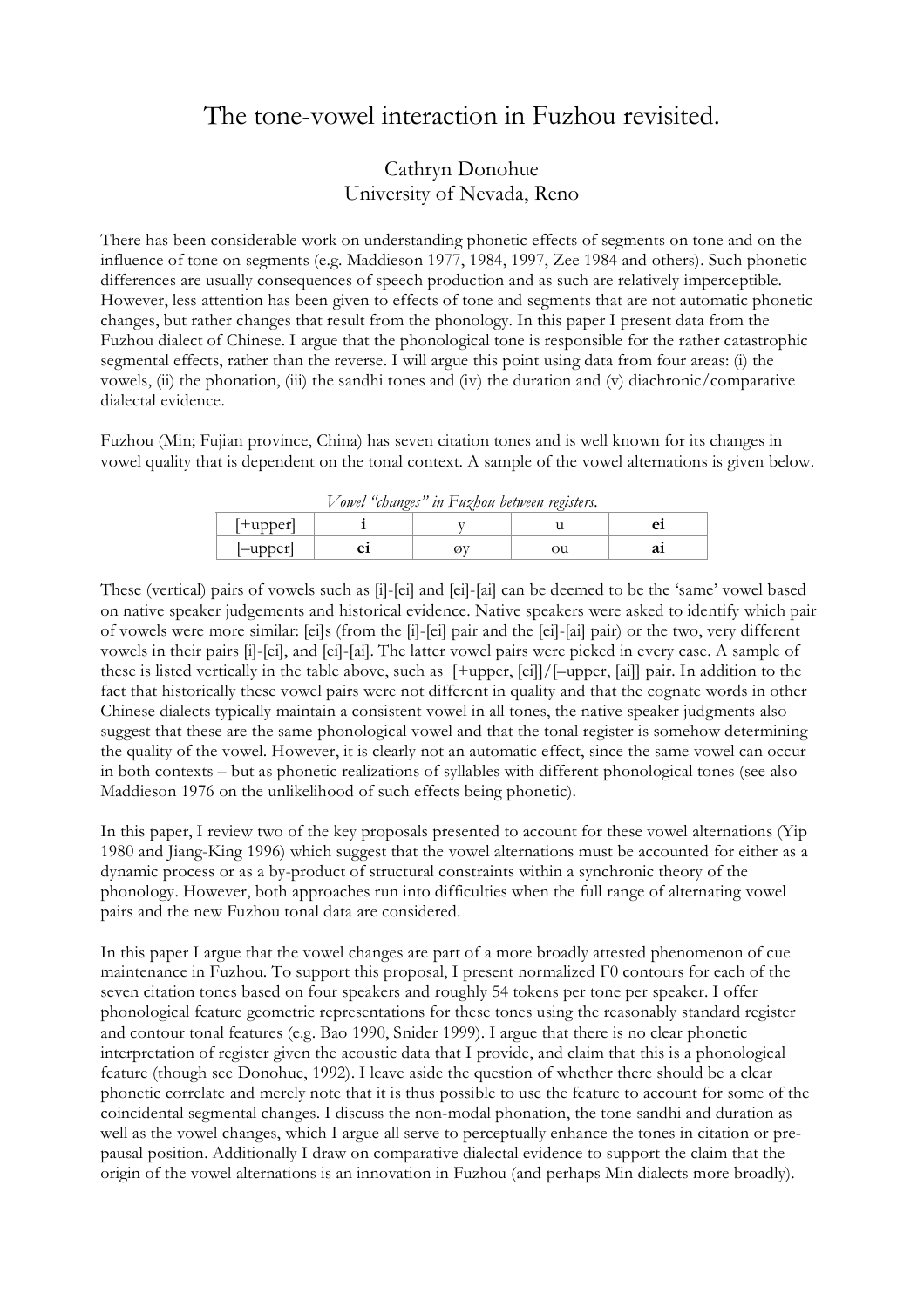## The tone-vowel interaction in Fuzhou revisited.

## Cathryn Donohue University of Nevada, Reno

There has been considerable work on understanding phonetic effects of segments on tone and on the influence of tone on segments (e.g. Maddieson 1977, 1984, 1997, Zee 1984 and others). Such phonetic differences are usually consequences of speech production and as such are relatively imperceptible. However, less attention has been given to effects of tone and segments that are not automatic phonetic changes, but rather changes that result from the phonology. In this paper I present data from the Fuzhou dialect of Chinese. I argue that the phonological tone is responsible for the rather catastrophic segmental effects, rather than the reverse. I will argue this point using data from four areas: (i) the vowels, (ii) the phonation, (iii) the sandhi tones and (iv) the duration and (v) diachronic/comparative dialectal evidence.

Fuzhou (Min; Fujian province, China) has seven citation tones and is well known for its changes in vowel quality that is dependent on the tonal context. A sample of the vowel alternations is given below.

| Vowel "changes" in Fuzhou between registers. |  |  |    |    |
|----------------------------------------------|--|--|----|----|
| $ +$ upper $ $                               |  |  |    |    |
| $l$ -upper $l$                               |  |  | эu | aı |

These (vertical) pairs of vowels such as [i]-[ei] and [ei]-[ai] can be deemed to be the 'same' vowel based on native speaker judgements and historical evidence. Native speakers were asked to identify which pair of vowels were more similar: [ei]s (from the [i]-[ei] pair and the [ei]-[ai] pair) or the two, very different vowels in their pairs [i]-[ei], and [ei]-[ai]. The latter vowel pairs were picked in every case. A sample of these is listed vertically in the table above, such as [+upper, [ei]]/[–upper, [ai]] pair. In addition to the fact that historically these vowel pairs were not different in quality and that the cognate words in other Chinese dialects typically maintain a consistent vowel in all tones, the native speaker judgments also suggest that these are the same phonological vowel and that the tonal register is somehow determining the quality of the vowel. However, it is clearly not an automatic effect, since the same vowel can occur in both contexts – but as phonetic realizations of syllables with different phonological tones (see also Maddieson 1976 on the unlikelihood of such effects being phonetic).

In this paper, I review two of the key proposals presented to account for these vowel alternations (Yip 1980 and Jiang-King 1996) which suggest that the vowel alternations must be accounted for either as a dynamic process or as a by-product of structural constraints within a synchronic theory of the phonology. However, both approaches run into difficulties when the full range of alternating vowel pairs and the new Fuzhou tonal data are considered.

In this paper I argue that the vowel changes are part of a more broadly attested phenomenon of cue maintenance in Fuzhou. To support this proposal, I present normalized F0 contours for each of the seven citation tones based on four speakers and roughly 54 tokens per tone per speaker. I offer phonological feature geometric representations for these tones using the reasonably standard register and contour tonal features (e.g. Bao 1990, Snider 1999). I argue that there is no clear phonetic interpretation of register given the acoustic data that I provide, and claim that this is a phonological feature (though see Donohue, 1992). I leave aside the question of whether there should be a clear phonetic correlate and merely note that it is thus possible to use the feature to account for some of the coincidental segmental changes. I discuss the non-modal phonation, the tone sandhi and duration as well as the vowel changes, which I argue all serve to perceptually enhance the tones in citation or prepausal position. Additionally I draw on comparative dialectal evidence to support the claim that the origin of the vowel alternations is an innovation in Fuzhou (and perhaps Min dialects more broadly).